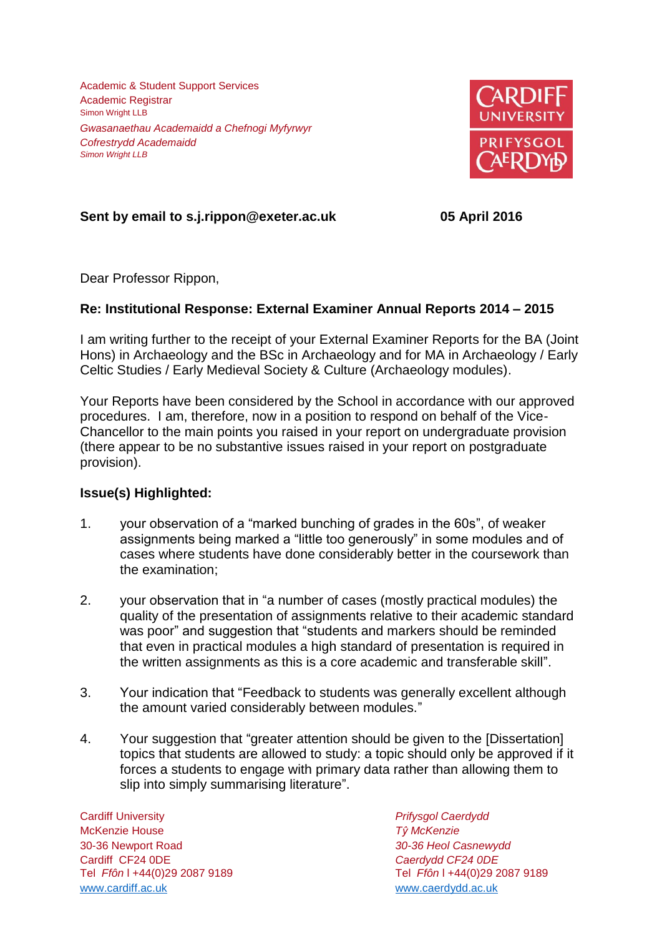Academic & Student Support Services Academic Registrar Simon Wright LLB *Gwasanaethau Academaidd a Chefnogi Myfyrwyr Cofrestrydd Academaidd Simon Wright LLB*



# **Sent by email to s.j.rippon@exeter.ac.uk 05 April 2016**

Dear Professor Rippon,

# **Re: Institutional Response: External Examiner Annual Reports 2014 – 2015**

I am writing further to the receipt of your External Examiner Reports for the BA (Joint Hons) in Archaeology and the BSc in Archaeology and for MA in Archaeology / Early Celtic Studies / Early Medieval Society & Culture (Archaeology modules).

Your Reports have been considered by the School in accordance with our approved procedures. I am, therefore, now in a position to respond on behalf of the Vice-Chancellor to the main points you raised in your report on undergraduate provision (there appear to be no substantive issues raised in your report on postgraduate provision).

### **Issue(s) Highlighted:**

- 1. your observation of a "marked bunching of grades in the 60s", of weaker assignments being marked a "little too generously" in some modules and of cases where students have done considerably better in the coursework than the examination;
- 2. your observation that in "a number of cases (mostly practical modules) the quality of the presentation of assignments relative to their academic standard was poor" and suggestion that "students and markers should be reminded that even in practical modules a high standard of presentation is required in the written assignments as this is a core academic and transferable skill".
- 3. Your indication that "Feedback to students was generally excellent although the amount varied considerably between modules."
- 4. Your suggestion that "greater attention should be given to the [Dissertation] topics that students are allowed to study: a topic should only be approved if it forces a students to engage with primary data rather than allowing them to slip into simply summarising literature".

Cardiff University *Prifysgol Caerdydd* McKenzie House *Tŷ McKenzie* 30-36 Newport Road *30-36 Heol Casnewydd* Cardiff CF24 0DE *Caerdydd CF24 0DE* [www.cardiff.ac.uk](http://www.cardiff.ac.uk/) www.cardiff.ac.uk

Tel *Ffôn* l +44(0)29 2087 9189 Tel *Ffôn* l +44(0)29 2087 9189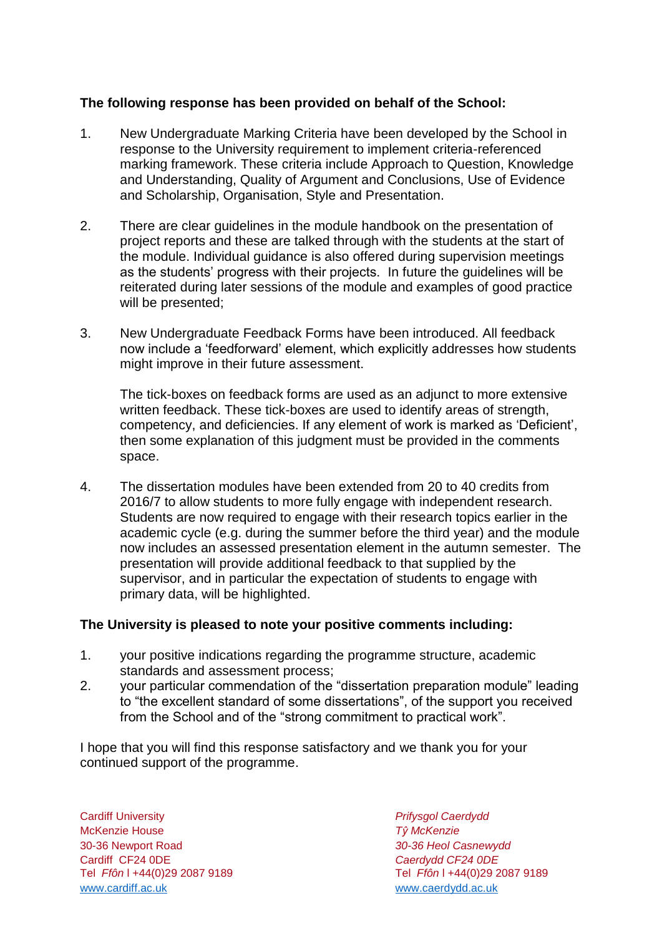# **The following response has been provided on behalf of the School:**

- 1. New Undergraduate Marking Criteria have been developed by the School in response to the University requirement to implement criteria-referenced marking framework. These criteria include Approach to Question, Knowledge and Understanding, Quality of Argument and Conclusions, Use of Evidence and Scholarship, Organisation, Style and Presentation.
- 2. There are clear guidelines in the module handbook on the presentation of project reports and these are talked through with the students at the start of the module. Individual guidance is also offered during supervision meetings as the students' progress with their projects. In future the guidelines will be reiterated during later sessions of the module and examples of good practice will be presented;
- 3. New Undergraduate Feedback Forms have been introduced. All feedback now include a 'feedforward' element, which explicitly addresses how students might improve in their future assessment.

The tick-boxes on feedback forms are used as an adjunct to more extensive written feedback. These tick-boxes are used to identify areas of strength, competency, and deficiencies. If any element of work is marked as 'Deficient', then some explanation of this judgment must be provided in the comments space.

4. The dissertation modules have been extended from 20 to 40 credits from 2016/7 to allow students to more fully engage with independent research. Students are now required to engage with their research topics earlier in the academic cycle (e.g. during the summer before the third year) and the module now includes an assessed presentation element in the autumn semester. The presentation will provide additional feedback to that supplied by the supervisor, and in particular the expectation of students to engage with primary data, will be highlighted.

### **The University is pleased to note your positive comments including:**

- 1. your positive indications regarding the programme structure, academic standards and assessment process;
- 2. your particular commendation of the "dissertation preparation module" leading to "the excellent standard of some dissertations", of the support you received from the School and of the "strong commitment to practical work".

I hope that you will find this response satisfactory and we thank you for your continued support of the programme.

Cardiff University *Prifysgol Caerdydd* McKenzie House *Tŷ McKenzie* 30-36 Newport Road *30-36 Heol Casnewydd* Tel *Ffôn* l +44(0)29 2087 9189 Tel *Ffôn* l +44(0)29 2087 9189 [www.cardiff.ac.uk](http://www.cardiff.ac.uk/) [www.caerdydd.ac.uk](http://www.caerdydd.ac.uk/)

Cardiff CF24 0DE *Caerdydd CF24 0DE*